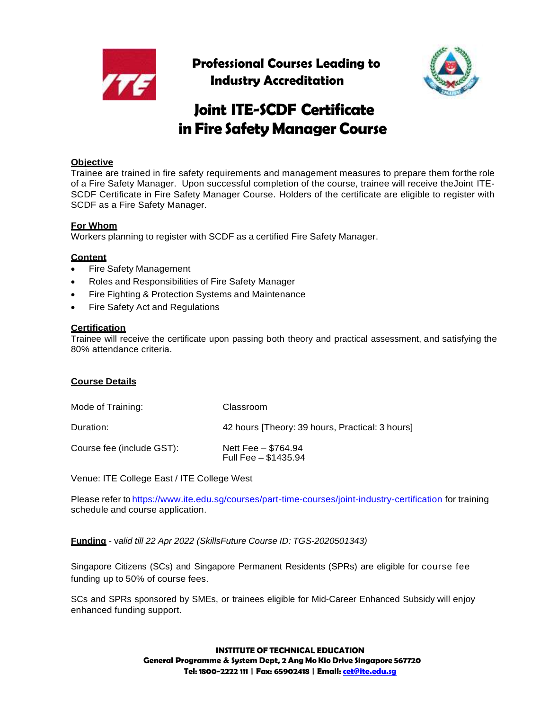

**Professional Courses Leading to Industry Accreditation**



# **Joint ITE-SCDF Certificate in Fire Safety Manager Course**

## **Objective**

Trainee are trained in fire safety requirements and management measures to prepare them forthe role of a Fire Safety Manager. Upon successful completion of the course, trainee will receive theJoint ITE-SCDF Certificate in Fire Safety Manager Course. Holders of the certificate are eligible to register with SCDF as a Fire Safety Manager.

## **For Whom**

Workers planning to register with SCDF as a certified Fire Safety Manager.

## **Content**

- Fire Safety Management
- Roles and Responsibilities of Fire Safety Manager
- Fire Fighting & Protection Systems and Maintenance
- Fire Safety Act and Regulations

#### **Certification**

Trainee will receive the certificate upon passing both theory and practical assessment, and satisfying the 80% attendance criteria.

#### **Course Details**

| Mode of Training:         | Classroom                                       |
|---------------------------|-------------------------------------------------|
| Duration:                 | 42 hours [Theory: 39 hours, Practical: 3 hours] |
| Course fee (include GST): | Nett Fee - \$764.94<br>Full Fee - \$1435.94     |

Venue: ITE College East / ITE College West

Please refer to https://www.ite.edu.sg/courses/part-time-courses/joint-industry-certification for training schedule and course application.

**Funding** - v*alid till 22 Apr 2022 (SkillsFuture Course ID: TGS-2020501343)*

Singapore Citizens (SCs) and Singapore Permanent Residents (SPRs) are eligible for course fee funding up to 50% of course fees.

SCs and SPRs sponsored by SMEs, or trainees eligible for Mid-Career Enhanced Subsidy will enjoy enhanced funding support.

> **INSTITUTE OF TECHNICAL EDUCATION General Programme & System Dept, 2 Ang Mo Kio Drive Singapore 567720 Tel: 1800-2222 111 | Fax: 65902418 | Email: [cet@ite.edu.sg](mailto:cet@ite.edu.sg)**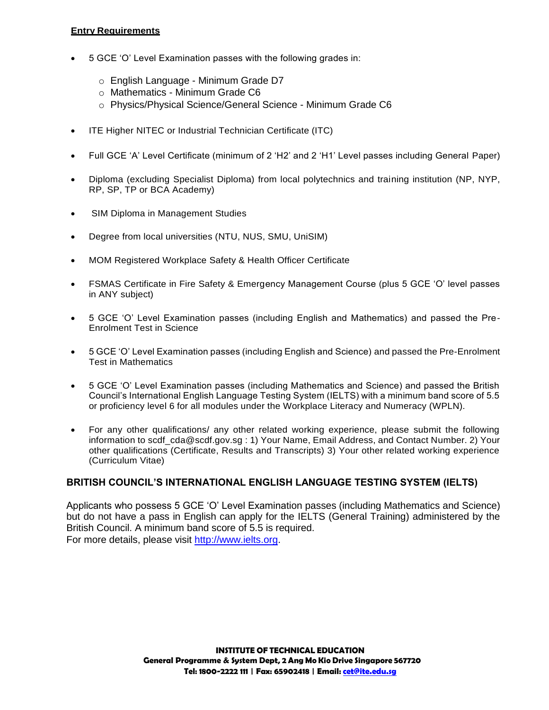## **Entry Requirements**

- 5 GCE 'O' Level Examination passes with the following grades in:
	- o English Language Minimum Grade D7
	- o Mathematics Minimum Grade C6
	- o Physics/Physical Science/General Science Minimum Grade C6
- ITE Higher NITEC or Industrial Technician Certificate (ITC)
- Full GCE 'A' Level Certificate (minimum of 2 'H2' and 2 'H1' Level passes including General Paper)
- Diploma (excluding Specialist Diploma) from local polytechnics and training institution (NP, NYP, RP, SP, TP or BCA Academy)
- SIM Diploma in Management Studies
- Degree from local universities (NTU, NUS, SMU, UniSIM)
- MOM Registered Workplace Safety & Health Officer Certificate
- FSMAS Certificate in Fire Safety & Emergency Management Course (plus 5 GCE 'O' level passes in ANY subject)
- 5 GCE 'O' Level Examination passes (including English and Mathematics) and passed the Pre-Enrolment Test in Science
- 5 GCE 'O' Level Examination passes (including English and Science) and passed the Pre-Enrolment Test in Mathematics
- 5 GCE 'O' Level Examination passes (including Mathematics and Science) and passed the British Council's International English Language Testing System (IELTS) with a minimum band score of 5.5 or proficiency level 6 for all modules under the Workplace Literacy and Numeracy (WPLN).
- For any other qualifications/ any other related working experience, please submit the following information to scdf\_cda@scdf.gov.sg : 1) Your Name, Email Address, and Contact Number. 2) Your other qualifications (Certificate, Results and Transcripts) 3) Your other related working experience (Curriculum Vitae)

# **BRITISH COUNCIL'S INTERNATIONAL ENGLISH LANGUAGE TESTING SYSTEM (IELTS)**

Applicants who possess 5 GCE 'O' Level Examination passes (including Mathematics and Science) but do not have a pass in English can apply for the IELTS (General Training) administered by the British Council. A minimum band score of 5.5 is required. For more details, please visit [http://www.ielts.org.](http://www.ielts.org/)